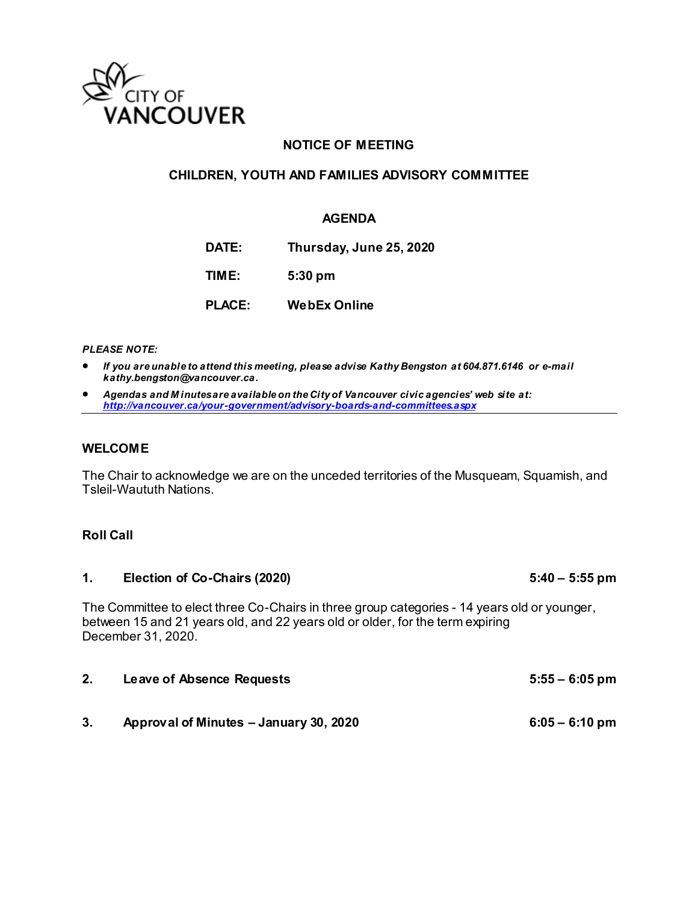

## **NOTICE OF MEETING**

### **CHILDREN, YOUTH AND FAMILIES ADVISORY COMMITTEE**

#### **AGENDA**

**DATE: Thursday, June 25, 2020**

**TIME: 5:30 pm**

**PLACE: WebEx Online**

*PLEASE NOTE:* 

- *If you are unable to attend this meeting, please advise Kathy Bengston at 604.871.6146 or e-mail kathy.bengston@vancouver.ca.*
- *Agendas and M inutes are available on the City of Vancouver civic agencies' web site at: <http://vancouver.ca/your-government/advisory-boards-and-committees.aspx>*

#### **WELCOME**

The Chair to acknowledge we are on the unceded territories of the Musqueam, Squamish, and Tsleil-Waututh Nations.

### **Roll Call**

## 1. **Election of Co-Chairs (2020)** 5:40 – 5:55 pm

The Committee to elect three Co-Chairs in three group categories - 14 years old or younger, between 15 and 21 years old, and 22 years old or older, for the term expiring December 31, 2020.

| 2. | Leave of Absence Requests | 5:55 – 6:05 pm |  |
|----|---------------------------|----------------|--|
|    |                           |                |  |
|    |                           |                |  |

**3. Approval of Minutes – January 30, 2020 6:05 – 6:10 pm**